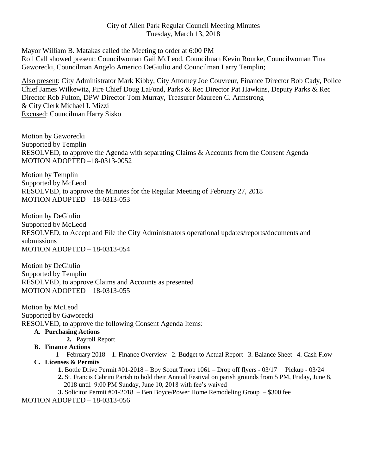Mayor William B. Matakas called the Meeting to order at 6:00 PM Roll Call showed present: Councilwoman Gail McLeod, Councilman Kevin Rourke, Councilwoman Tina Gaworecki, Councilman Angelo Americo DeGiulio and Councilman Larry Templin;

Also present: City Administrator Mark Kibby, City Attorney Joe Couvreur, Finance Director Bob Cady, Police Chief James Wilkewitz, Fire Chief Doug LaFond, Parks & Rec Director Pat Hawkins, Deputy Parks & Rec Director Rob Fulton, DPW Director Tom Murray, Treasurer Maureen C. Armstrong & City Clerk Michael I. Mizzi Excused: Councilman Harry Sisko

Motion by Gaworecki Supported by Templin RESOLVED, to approve the Agenda with separating Claims & Accounts from the Consent Agenda MOTION ADOPTED –18-0313-0052

Motion by Templin Supported by McLeod RESOLVED, to approve the Minutes for the Regular Meeting of February 27, 2018 MOTION ADOPTED – 18-0313-053

Motion by DeGiulio Supported by McLeod RESOLVED, to Accept and File the City Administrators operational updates/reports/documents and submissions MOTION ADOPTED – 18-0313-054

Motion by DeGiulio Supported by Templin RESOLVED, to approve Claims and Accounts as presented MOTION ADOPTED – 18-0313-055

Motion by McLeod Supported by Gaworecki RESOLVED, to approve the following Consent Agenda Items:

#### **A. Purchasing Actions**

**2.** Payroll Report

#### **B. Finance Actions**

1 February 2018 – 1. Finance Overview 2. Budget to Actual Report 3. Balance Sheet 4. Cash Flow **C. Licenses & Permits**

 **1.** Bottle Drive Permit #01-2018 – Boy Scout Troop 1061 – Drop off flyers - 03/17 Pickup - 03/24

 **2.** St. Francis Cabrini Parish to hold their Annual Festival on parish grounds from 5 PM, Friday, June 8, 2018 until9:00 PM Sunday, June 10, 2018 with fee's waived

 **3.** Solicitor Permit #01-2018 – Ben Boyce/Power Home Remodeling Group – \$300 fee

MOTION ADOPTED – 18-0313-056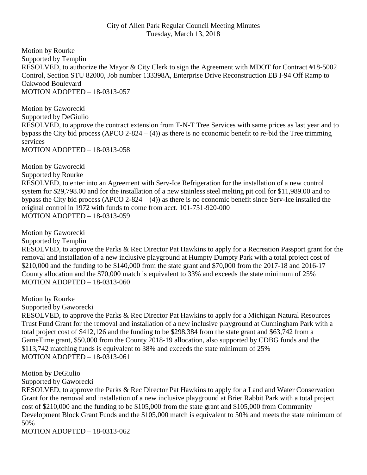Motion by Rourke Supported by Templin RESOLVED, to authorize the Mayor & City Clerk to sign the Agreement with MDOT for Contract #18-5002 Control, Section STU 82000, Job number 133398A, Enterprise Drive Reconstruction EB I-94 Off Ramp to Oakwood Boulevard MOTION ADOPTED – 18-0313-057

Motion by Gaworecki Supported by DeGiulio RESOLVED, to approve the contract extension from T-N-T Tree Services with same prices as last year and to bypass the City bid process  $(APCO 2-824 - (4))$  as there is no economic benefit to re-bid the Tree trimming services

MOTION ADOPTED – 18-0313-058

Motion by Gaworecki Supported by Rourke RESOLVED, to enter into an Agreement with Serv-Ice Refrigeration for the installation of a new control system for \$29,798.00 and for the installation of a new stainless steel melting pit coil for \$11,989.00 and to bypass the City bid process  $(APCO 2-824 - (4))$  as there is no economic benefit since Serv-Ice installed the original control in 1972 with funds to come from acct. 101-751-920-000 MOTION ADOPTED – 18-0313-059

Motion by Gaworecki

Supported by Templin

RESOLVED, to approve the Parks & Rec Director Pat Hawkins to apply for a Recreation Passport grant for the removal and installation of a new inclusive playground at Humpty Dumpty Park with a total project cost of \$210,000 and the funding to be \$140,000 from the state grant and \$70,000 from the 2017-18 and 2016-17 County allocation and the \$70,000 match is equivalent to 33% and exceeds the state minimum of 25% MOTION ADOPTED – 18-0313-060

Motion by Rourke

Supported by Gaworecki

RESOLVED, to approve the Parks & Rec Director Pat Hawkins to apply for a Michigan Natural Resources Trust Fund Grant for the removal and installation of a new inclusive playground at Cunningham Park with a total project cost of \$412,126 and the funding to be \$298,384 from the state grant and \$63,742 from a GameTime grant, \$50,000 from the County 2018-19 allocation, also supported by CDBG funds and the \$113,742 matching funds is equivalent to 38% and exceeds the state minimum of 25% MOTION ADOPTED – 18-0313-061

Motion by DeGiulio

Supported by Gaworecki

RESOLVED, to approve the Parks & Rec Director Pat Hawkins to apply for a Land and Water Conservation Grant for the removal and installation of a new inclusive playground at Brier Rabbit Park with a total project cost of \$210,000 and the funding to be \$105,000 from the state grant and \$105,000 from Community Development Block Grant Funds and the \$105,000 match is equivalent to 50% and meets the state minimum of 50%

MOTION ADOPTED – 18-0313-062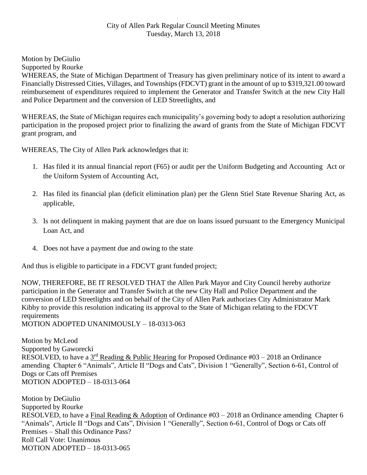Motion by DeGiulio

Supported by Rourke

WHEREAS, the State of Michigan Department of Treasury has given preliminary notice of its intent to award a Financially Distressed Cities, Villages, and Townships (FDCVT) grant in the amount of up to \$319,321.00 toward reimbursement of expenditures required to implement the Generator and Transfer Switch at the new City Hall and Police Department and the conversion of LED Streetlights, and

WHEREAS, the State of Michigan requires each municipality's governing body to adopt a resolution authorizing participation in the proposed project prior to finalizing the award of grants from the State of Michigan FDCVT grant program, and

WHEREAS, The City of Allen Park acknowledges that it:

- 1. Has filed it its annual financial report (F65) or audit per the Uniform Budgeting and Accounting Act or the Uniform System of Accounting Act,
- 2. Has filed its financial plan (deficit elimination plan) per the Glenn Stiel State Revenue Sharing Act, as applicable,
- 3. Is not delinquent in making payment that are due on loans issued pursuant to the Emergency Municipal Loan Act, and
- 4. Does not have a payment due and owing to the state

And thus is eligible to participate in a FDCVT grant funded project;

NOW, THEREFORE, BE IT RESOLVED THAT the Allen Park Mayor and City Council hereby authorize participation in the Generator and Transfer Switch at the new City Hall and Police Department and the conversion of LED Streetlights and on behalf of the City of Allen Park authorizes City Administrator Mark Kibby to provide this resolution indicating its approval to the State of Michigan relating to the FDCVT requirements

MOTION ADOPTED UNANIMOUSLY – 18-0313-063

Motion by McLeod Supported by Gaworecki RESOLVED, to have a  $3^{\text{rd}}$  Reading & Public Hearing for Proposed Ordinance #03 – 2018 an Ordinance amending Chapter 6 "Animals", Article II "Dogs and Cats", Division 1 "Generally", Section 6-61, Control of Dogs or Cats off Premises MOTION ADOPTED – 18-0313-064

Motion by DeGiulio Supported by Rourke RESOLVED, to have a Final Reading & Adoption of Ordinance #03 – 2018 an Ordinance amending Chapter 6 "Animals", Article II "Dogs and Cats", Division 1 "Generally", Section 6-61, Control of Dogs or Cats off Premises – Shall this Ordinance Pass? Roll Call Vote: Unanimous MOTION ADOPTED – 18-0313-065